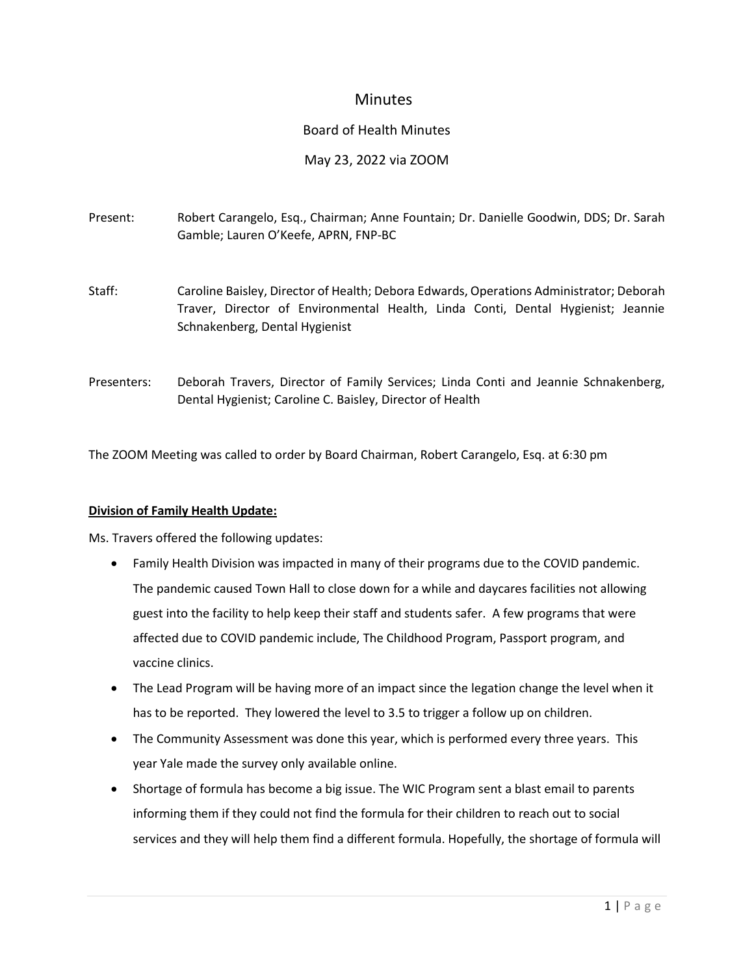# **Minutes**

### Board of Health Minutes

### May 23, 2022 via ZOOM

| Present:    | Robert Carangelo, Esq., Chairman; Anne Fountain; Dr. Danielle Goodwin, DDS; Dr. Sarah<br>Gamble; Lauren O'Keefe, APRN, FNP-BC                                                                                 |
|-------------|---------------------------------------------------------------------------------------------------------------------------------------------------------------------------------------------------------------|
| Staff:      | Caroline Baisley, Director of Health; Debora Edwards, Operations Administrator; Deborah<br>Traver, Director of Environmental Health, Linda Conti, Dental Hygienist; Jeannie<br>Schnakenberg, Dental Hygienist |
| Presenters: | Deborah Travers, Director of Family Services; Linda Conti and Jeannie Schnakenberg,<br>Dental Hygienist; Caroline C. Baisley, Director of Health                                                              |

The ZOOM Meeting was called to order by Board Chairman, Robert Carangelo, Esq. at 6:30 pm

#### **Division of Family Health Update:**

Ms. Travers offered the following updates:

- Family Health Division was impacted in many of their programs due to the COVID pandemic. The pandemic caused Town Hall to close down for a while and daycares facilities not allowing guest into the facility to help keep their staff and students safer. A few programs that were affected due to COVID pandemic include, The Childhood Program, Passport program, and vaccine clinics.
- The Lead Program will be having more of an impact since the legation change the level when it has to be reported. They lowered the level to 3.5 to trigger a follow up on children.
- The Community Assessment was done this year, which is performed every three years. This year Yale made the survey only available online.
- Shortage of formula has become a big issue. The WIC Program sent a blast email to parents informing them if they could not find the formula for their children to reach out to social services and they will help them find a different formula. Hopefully, the shortage of formula will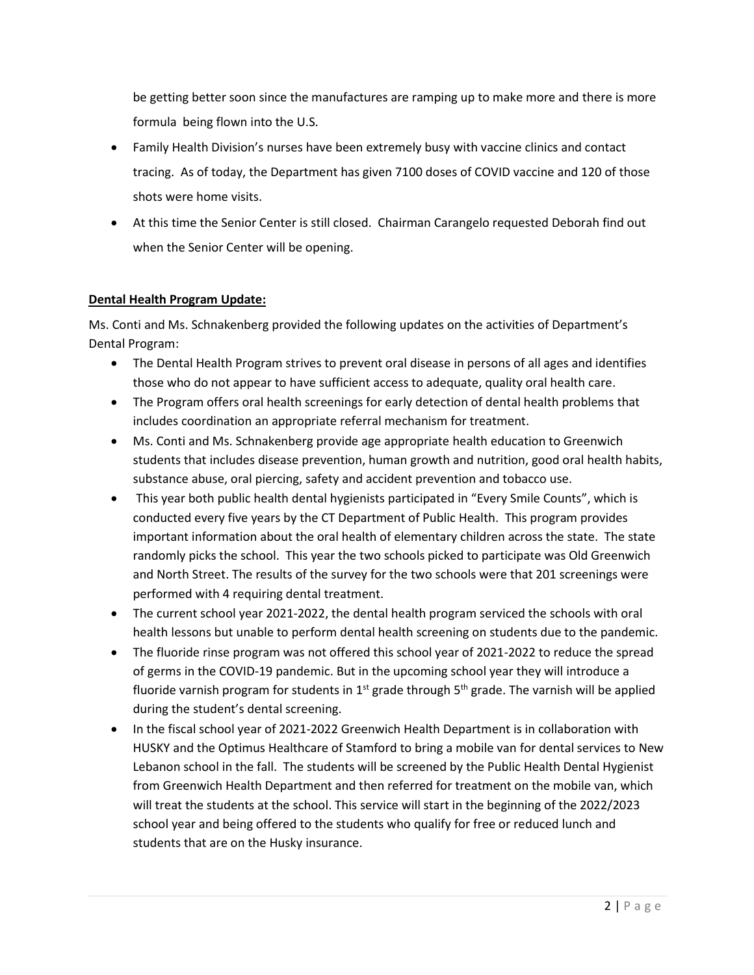be getting better soon since the manufactures are ramping up to make more and there is more formula being flown into the U.S.

- Family Health Division's nurses have been extremely busy with vaccine clinics and contact tracing. As of today, the Department has given 7100 doses of COVID vaccine and 120 of those shots were home visits.
- At this time the Senior Center is still closed. Chairman Carangelo requested Deborah find out when the Senior Center will be opening.

### **Dental Health Program Update:**

Ms. Conti and Ms. Schnakenberg provided the following updates on the activities of Department's Dental Program:

- The Dental Health Program strives to prevent oral disease in persons of all ages and identifies those who do not appear to have sufficient access to adequate, quality oral health care.
- The Program offers oral health screenings for early detection of dental health problems that includes coordination an appropriate referral mechanism for treatment.
- Ms. Conti and Ms. Schnakenberg provide age appropriate health education to Greenwich students that includes disease prevention, human growth and nutrition, good oral health habits, substance abuse, oral piercing, safety and accident prevention and tobacco use.
- This year both public health dental hygienists participated in "Every Smile Counts", which is conducted every five years by the CT Department of Public Health. This program provides important information about the oral health of elementary children across the state. The state randomly picks the school. This year the two schools picked to participate was Old Greenwich and North Street. The results of the survey for the two schools were that 201 screenings were performed with 4 requiring dental treatment.
- The current school year 2021-2022, the dental health program serviced the schools with oral health lessons but unable to perform dental health screening on students due to the pandemic.
- The fluoride rinse program was not offered this school year of 2021-2022 to reduce the spread of germs in the COVID-19 pandemic. But in the upcoming school year they will introduce a fluoride varnish program for students in 1<sup>st</sup> grade through 5<sup>th</sup> grade. The varnish will be applied during the student's dental screening.
- In the fiscal school year of 2021-2022 Greenwich Health Department is in collaboration with HUSKY and the Optimus Healthcare of Stamford to bring a mobile van for dental services to New Lebanon school in the fall. The students will be screened by the Public Health Dental Hygienist from Greenwich Health Department and then referred for treatment on the mobile van, which will treat the students at the school. This service will start in the beginning of the 2022/2023 school year and being offered to the students who qualify for free or reduced lunch and students that are on the Husky insurance.